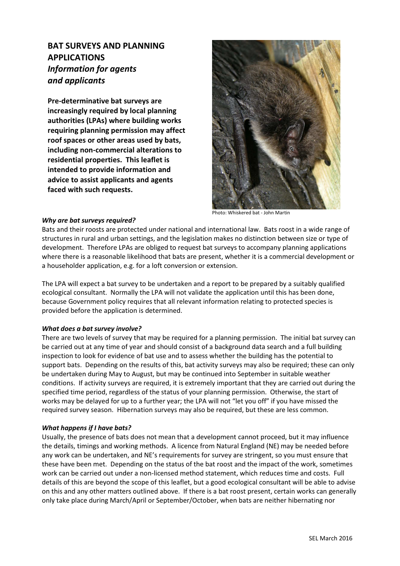# BAT SURVEYS AND PLANNING APPLICATIONS Information for agents and applicants

Pre-determinative bat surveys are increasingly required by local planning authorities (LPAs) where building works requiring planning permission may affect roof spaces or other areas used by bats, including non-commercial alterations to residential properties. This leaflet is intended to provide information and advice to assist applicants and agents faced with such requests.



Photo: Whiskered bat - John Martin

## Why are bat surveys required?

Bats and their roosts are protected under national and international law. Bats roost in a wide range of structures in rural and urban settings, and the legislation makes no distinction between size or type of development. Therefore LPAs are obliged to request bat surveys to accompany planning applications where there is a reasonable likelihood that bats are present, whether it is a commercial development or a householder application, e.g. for a loft conversion or extension.

The LPA will expect a bat survey to be undertaken and a report to be prepared by a suitably qualified ecological consultant. Normally the LPA will not validate the application until this has been done, because Government policy requires that all relevant information relating to protected species is provided before the application is determined.

#### What does a bat survey involve?

There are two levels of survey that may be required for a planning permission. The initial bat survey can be carried out at any time of year and should consist of a background data search and a full building inspection to look for evidence of bat use and to assess whether the building has the potential to support bats. Depending on the results of this, bat activity surveys may also be required; these can only be undertaken during May to August, but may be continued into September in suitable weather conditions. If activity surveys are required, it is extremely important that they are carried out during the specified time period, regardless of the status of your planning permission. Otherwise, the start of works may be delayed for up to a further year; the LPA will not "let you off" if you have missed the required survey season. Hibernation surveys may also be required, but these are less common.

#### What happens if I have bats?

Usually, the presence of bats does not mean that a development cannot proceed, but it may influence the details, timings and working methods. A licence from Natural England (NE) may be needed before any work can be undertaken, and NE's requirements for survey are stringent, so you must ensure that these have been met. Depending on the status of the bat roost and the impact of the work, sometimes work can be carried out under a non-licensed method statement, which reduces time and costs. Full details of this are beyond the scope of this leaflet, but a good ecological consultant will be able to advise on this and any other matters outlined above. If there is a bat roost present, certain works can generally only take place during March/April or September/October, when bats are neither hibernating nor